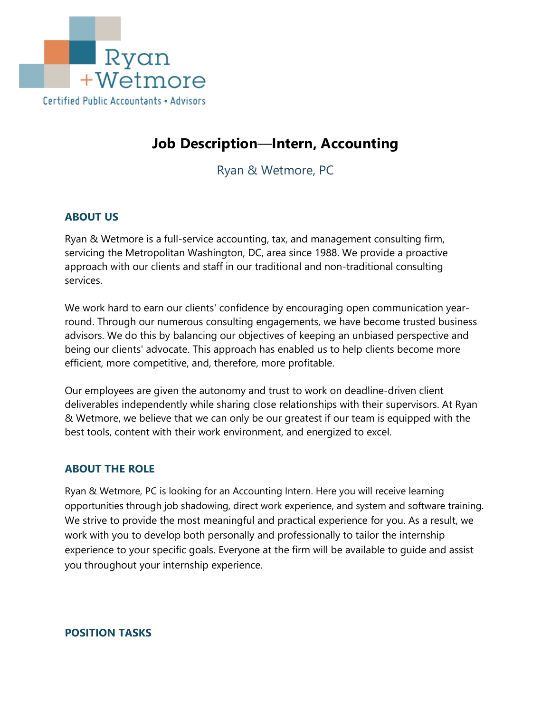

# **Job Description**—**Intern, Accounting**

Ryan & Wetmore, PC

# **ABOUT US**

Ryan & Wetmore is a full-service accounting, tax, and management consulting firm, servicing the Metropolitan Washington, DC, area since 1988. We provide a proactive approach with our clients and staff in our traditional and non-traditional consulting services.

We work hard to earn our clients' confidence by encouraging open communication yearround. Through our numerous consulting engagements, we have become trusted business advisors. We do this by balancing our objectives of keeping an unbiased perspective and being our clients' advocate. This approach has enabled us to help clients become more efficient, more competitive, and, therefore, more profitable.

Our employees are given the autonomy and trust to work on deadline-driven client deliverables independently while sharing close relationships with their supervisors. At Ryan & Wetmore, we believe that we can only be our greatest if our team is equipped with the best tools, content with their work environment, and energized to excel.

## **ABOUT THE ROLE**

Ryan & Wetmore, PC is looking for an Accounting Intern. Here you will receive learning opportunities through job shadowing, direct work experience, and system and software training. We strive to provide the most meaningful and practical experience for you. As a result, we work with you to develop both personally and professionally to tailor the internship experience to your specific goals. Everyone at the firm will be available to guide and assist you throughout your internship experience.

**POSITION TASKS**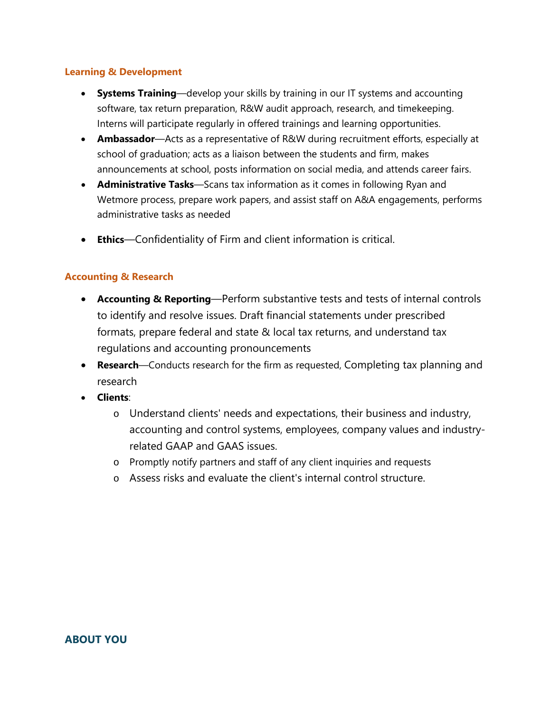#### **Learning & Development**

- **Systems Training**—develop your skills by training in our IT systems and accounting software, tax return preparation, R&W audit approach, research, and timekeeping. Interns will participate regularly in offered trainings and learning opportunities.
- **Ambassador**—Acts as a representative of R&W during recruitment efforts, especially at school of graduation; acts as a liaison between the students and firm, makes announcements at school, posts information on social media, and attends career fairs.
- **Administrative Tasks**—Scans tax information as it comes in following Ryan and Wetmore process, prepare work papers, and assist staff on A&A engagements, performs administrative tasks as needed
- **Ethics**—Confidentiality of Firm and client information is critical.

## **Accounting & Research**

- **Accounting & Reporting**—Perform substantive tests and tests of internal controls to identify and resolve issues. Draft financial statements under prescribed formats, prepare federal and state & local tax returns, and understand tax regulations and accounting pronouncements
- **Research**—Conducts research for the firm as requested, Completing tax planning and research
- **Clients**:
	- o Understand clients' needs and expectations, their business and industry, accounting and control systems, employees, company values and industryrelated GAAP and GAAS issues.
	- o Promptly notify partners and staff of any client inquiries and requests
	- o Assess risks and evaluate the client's internal control structure.

**ABOUT YOU**